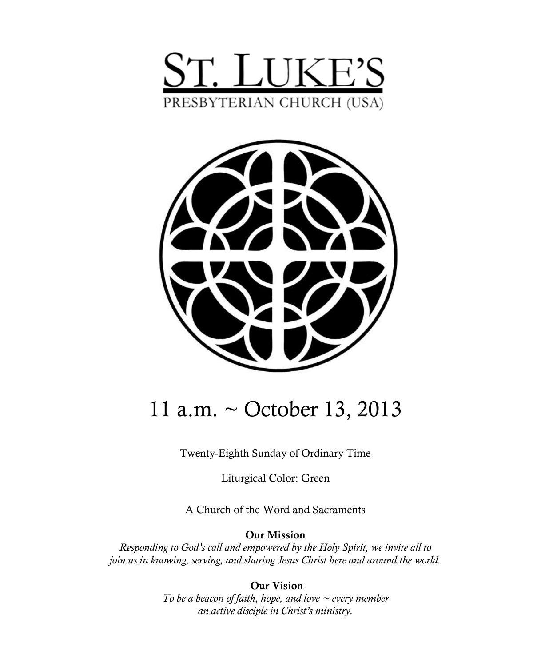



# 11 a.m. ~ October 13, 2013

Twenty-Eighth Sunday of Ordinary Time

Liturgical Color: Green

A Church of the Word and Sacraments

**Our Mission**

*Responding to God's call and empowered by the Holy Spirit, we invite all to join us in knowing, serving, and sharing Jesus Christ here and around the world.*

> **Our Vision** *To be a beacon of faith, hope, and love ~ every member an active disciple in Christ's ministry.*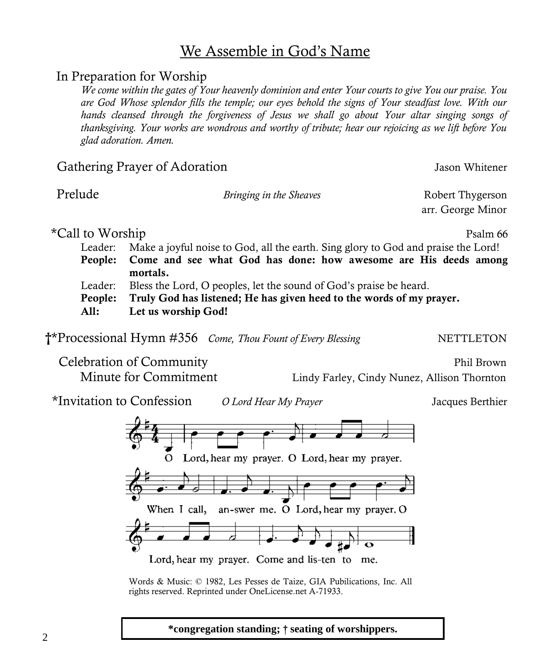### We Assemble in God's Name

#### In Preparation for Worship

*We come within the gates of Your heavenly dominion and enter Your courts to give You our praise. You are God Whose splendor fills the temple; our eyes behold the signs of Your steadfast love. With our hands cleansed through the forgiveness of Jesus we shall go about Your altar singing songs of thanksgiving. Your works are wondrous and worthy of tribute; hear our rejoicing as we lift before You glad adoration. Amen.*

#### Gathering Prayer of Adoration and American States and Jason Whitener

2

Prelude *Bringing in the Sheaves* Robert Thygerson

\*Call to Worship **Psalm** 66

Leader: Make a joyful noise to God, all the earth. Sing glory to God and praise the Lord! **People: Come and see what God has done: how awesome are His deeds among mortals.** Leader: Bless the Lord, O peoples, let the sound of God's praise be heard. **People: Truly God has listened; He has given heed to the words of my prayer.**

**All: Let us worship God!** 

**†\*Processional Hymn #356** *Come, Thou Fount of Every Blessing* NETTLETON

Celebration of Community Phil Brown

\*Invitation to Confession *O Lord Hear My Prayer* Jacques Berthier



Words & Music: © 1982, Les Pesses de Taize, GIA Pubilications, Inc. All rights reserved. Reprinted under OneLicense.net A-71933.

Minute for Commitment Lindy Farley, Cindy Nunez, Allison Thornton

arr. George Minor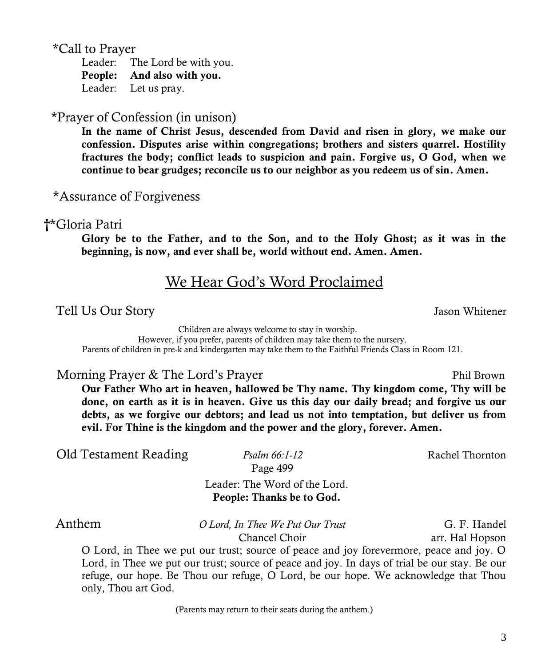\*Call to Prayer

Leader: The Lord be with you. **People: And also with you.** Leader: Let us pray.

\*Prayer of Confession (in unison)

**In the name of Christ Jesus, descended from David and risen in glory, we make our confession. Disputes arise within congregations; brothers and sisters quarrel. Hostility fractures the body; conflict leads to suspicion and pain. Forgive us, O God, when we continue to bear grudges; reconcile us to our neighbor as you redeem us of sin. Amen.**

\*Assurance of Forgiveness

#### **†**\*Gloria Patri

**Glory be to the Father, and to the Son, and to the Holy Ghost; as it was in the beginning, is now, and ever shall be, world without end. Amen. Amen.**

### We Hear God's Word Proclaimed

Tell Us Our Story Jason Whitener

 Children are always welcome to stay in worship. However, if you prefer, parents of children may take them to the nursery. Parents of children in pre-k and kindergarten may take them to the Faithful Friends Class in Room 121.

Morning Prayer & The Lord's Prayer Phil Brown

**Our Father Who art in heaven, hallowed be Thy name. Thy kingdom come, Thy will be done, on earth as it is in heaven. Give us this day our daily bread; and forgive us our debts, as we forgive our debtors; and lead us not into temptation, but deliver us from evil. For Thine is the kingdom and the power and the glory, forever. Amen.**

Old Testament Reading *Psalm 66:1-12* Rachel Thornton

Page 499

Leader: The Word of the Lord. **People: Thanks be to God.** 

 Anthem *O Lord, In Thee We Put Our Trust* G. F. Handel Chancel Choir arr. Hal Hopson

O Lord, in Thee we put our trust; source of peace and joy forevermore, peace and joy. O Lord, in Thee we put our trust; source of peace and joy. In days of trial be our stay. Be our refuge, our hope. Be Thou our refuge, O Lord, be our hope. We acknowledge that Thou only, Thou art God.

(Parents may return to their seats during the anthem.)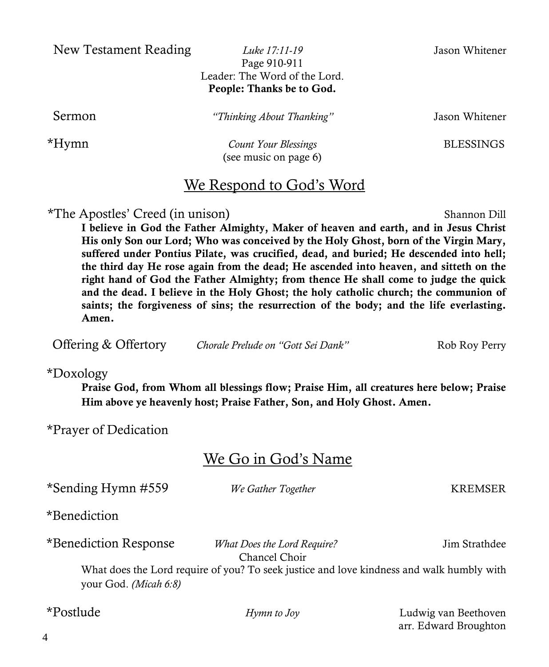New Testament Reading *Luke 17:11-19* Jason Whitener

Page 910-911 Leader: The Word of the Lord. **People: Thanks be to God.**

Sermon *"Thinking About Thanking"* Jason Whitener

 \*Hymn *Count Your Blessings* BLESSINGS (see music on page 6)

### We Respond to God's Word

\*The Apostles' Creed (in unison) Shannon Dill

**I believe in God the Father Almighty, Maker of heaven and earth, and in Jesus Christ His only Son our Lord; Who was conceived by the Holy Ghost, born of the Virgin Mary, suffered under Pontius Pilate, was crucified, dead, and buried; He descended into hell; the third day He rose again from the dead; He ascended into heaven, and sitteth on the right hand of God the Father Almighty; from thence He shall come to judge the quick and the dead. I believe in the Holy Ghost; the holy catholic church; the communion of saints; the forgiveness of sins; the resurrection of the body; and the life everlasting. Amen.**

**Offering & Offertory** *Chorale Prelude on "Gott Sei Dank"* Rob Roy Perry

\*Doxology

**Praise God, from Whom all blessings flow; Praise Him, all creatures here below; Praise Him above ye heavenly host; Praise Father, Son, and Holy Ghost. Amen.**

\*Prayer of Dedication

### We Go in God's Name

| *Sending Hymn #559    | We Gather Together                                                                        | KREMSER              |
|-----------------------|-------------------------------------------------------------------------------------------|----------------------|
| *Benediction          |                                                                                           |                      |
| *Benediction Response | <i>What Does the Lord Require?</i><br>Chancel Choir                                       | Jim Strathdee        |
| your God. (Micah 6:8) | What does the Lord require of you? To seek justice and love kindness and walk humbly with |                      |
| *Postlude             | Hymn to Joy                                                                               | Ludwig van Beethoven |

arr. Edward Broughton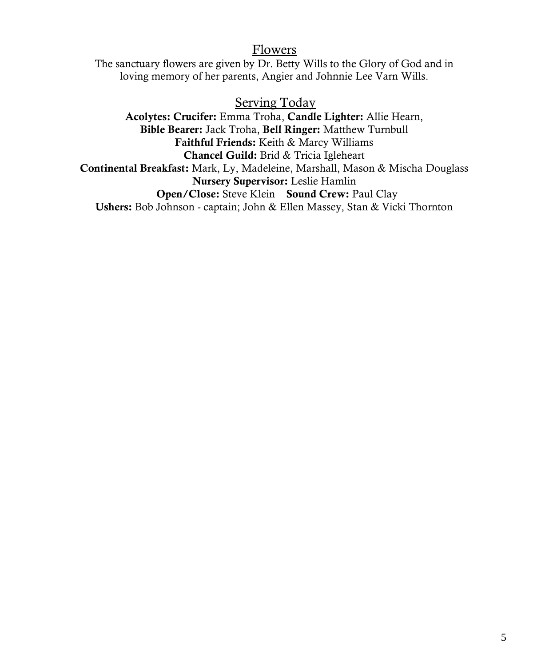#### Flowers

The sanctuary flowers are given by Dr. Betty Wills to the Glory of God and in loving memory of her parents, Angier and Johnnie Lee Varn Wills.

#### Serving Today

**Acolytes: Crucifer:** Emma Troha, **Candle Lighter:** Allie Hearn, **Bible Bearer:** Jack Troha, **Bell Ringer:** Matthew Turnbull **Faithful Friends:** Keith & Marcy Williams **Chancel Guild:** Brid & Tricia Igleheart **Continental Breakfast:** Mark, Ly, Madeleine, Marshall, Mason & Mischa Douglass **Nursery Supervisor:** Leslie Hamlin **Open/Close:** Steve Klein **Sound Crew:** Paul Clay **Ushers:** Bob Johnson - captain; John & Ellen Massey, Stan & Vicki Thornton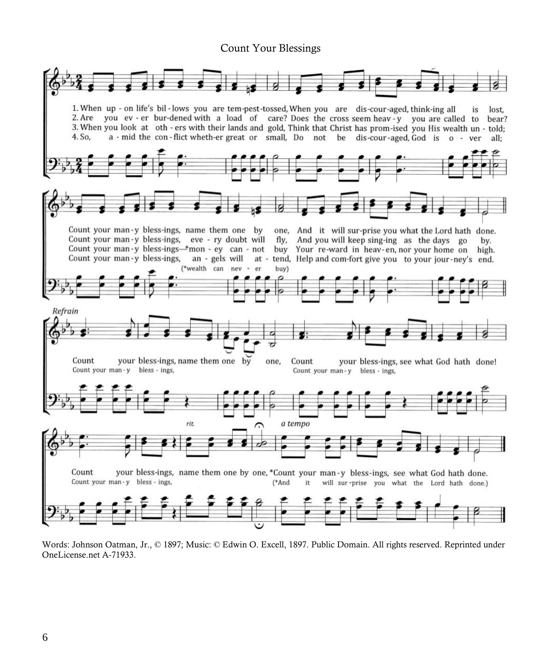#### Count Your Blessings



Words: Johnson Oatman, Jr., © 1897; Music: © Edwin O. Excell, 1897. Public Domain. All rights reserved. Reprinted under OneLicense.net A-71933.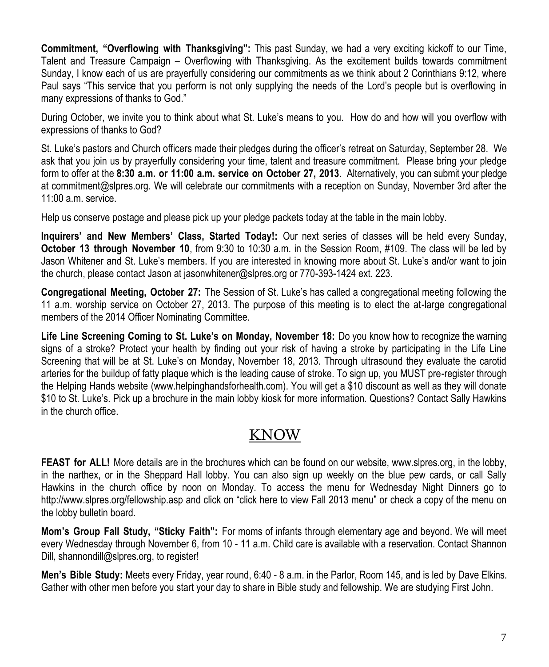**Commitment, "Overflowing with Thanksgiving":** This past Sunday, we had a very exciting kickoff to our Time, Talent and Treasure Campaign – Overflowing with Thanksgiving. As the excitement builds towards commitment Sunday, I know each of us are prayerfully considering our commitments as we think about 2 Corinthians 9:12, where Paul says "This service that you perform is not only supplying the needs of the Lord's people but is overflowing in many expressions of thanks to God."

During October, we invite you to think about what St. Luke's means to you. How do and how will you overflow with expressions of thanks to God?

St. Luke's pastors and Church officers made their pledges during the officer's retreat on Saturday, September 28. We ask that you join us by prayerfully considering your time, talent and treasure commitment. Please bring your pledge form to offer at the **8:30 a.m. or 11:00 a.m. service on October 27, 2013**. Alternatively, you can submit your pledge at [commitment@slpres.org.](mailto:commitment@slpres.org) We will celebrate our commitments with a reception on Sunday, November 3rd after the 11:00 a.m. service.

Help us conserve postage and please pick up your pledge packets today at the table in the main lobby.

**Inquirers' and New Members' Class, Started Today!:** Our next series of classes will be held every Sunday, **October 13 through November 10**, from 9:30 to 10:30 a.m. in the Session Room, #109. The class will be led by Jason Whitener and St. Luke's members. If you are interested in knowing more about St. Luke's and/or want to join the church, please contact Jason at jasonwhitener@slpres.org or 770-393-1424 ext. 223.

**Congregational Meeting, October 27:** The Session of St. Luke's has called a congregational meeting following the 11 a.m. worship service on October 27, 2013. The purpose of this meeting is to elect the at-large congregational members of the 2014 Officer Nominating Committee.

**Life Line Screening Coming to St. Luke's on Monday, November 18:** Do you know how to recognize the warning signs of a stroke? Protect your health by finding out your risk of having a stroke by participating in the Life Line Screening that will be at St. Luke's on Monday, November 18, 2013. Through ultrasound they evaluate the carotid arteries for the buildup of fatty plaque which is the leading cause of stroke. To sign up, you MUST pre-register through the Helping Hands website (www.helpinghandsforhealth.com). You will get a \$10 discount as well as they will donate \$10 to St. Luke's. Pick up a brochure in the main lobby kiosk for more information. Questions? Contact Sally Hawkins in the church office.

### KNOW

**FEAST for ALL!** More details are in the brochures which can be found on our website, [www.slpres.org,](http://www.slpres.org) in the lobby, in the narthex, or in the Sheppard Hall lobby. You can also sign up weekly on the blue pew cards, or call Sally Hawkins in the church office by noon on Monday. To access the menu for Wednesday Night Dinners go to http://www.slpres.org/fellowship.asp and click on "click here to view Fall 2013 menu" or check a copy of the menu on the lobby bulletin board.

**Mom's Group Fall Study, "Sticky Faith":** For moms of infants through elementary age and beyond. We will meet every Wednesday through November 6, from 10 - 11 a.m. Child care is available with a reservation. Contact Shannon Dill, shannondill@slpres.org, to register!

**Men's Bible Study:** Meets every Friday, year round, 6:40 - 8 a.m. in the Parlor, Room 145, and is led by Dave Elkins. Gather with other men before you start your day to share in Bible study and fellowship. We are studying First John.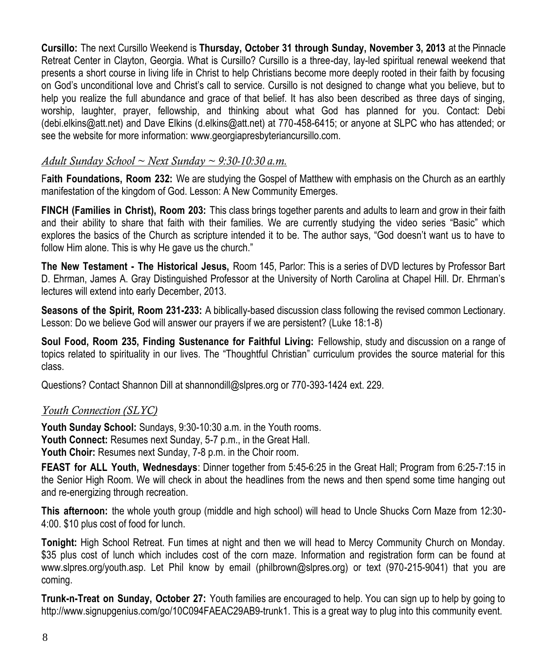**Cursillo:** The next Cursillo Weekend is **Thursday, October 31 through Sunday, November 3, 2013** at the Pinnacle Retreat Center in Clayton, Georgia. What is Cursillo? Cursillo is a three-day, lay-led spiritual renewal weekend that presents a short course in living life in Christ to help Christians become more deeply rooted in their faith by focusing on God's unconditional love and Christ's call to service. Cursillo is not designed to change what you believe, but to help you realize the full abundance and grace of that belief. It has also been described as three days of singing, worship, laughter, prayer, fellowship, and thinking about what God has planned for you. Contact: Debi ([debi.elkins@att.net\)](mailto:debi.elkins@att.net) and Dave Elkins ([d.elkins@att.net\)](mailto:d.elkins@att.net) at 770-458-6415; or anyone at SLPC who has attended; or see the website for more information: [www.](http://www.signupgenius.com/go/805084CAFAF28A75-slpc3)georgiapresbyteriancursillo.com.

#### *Adult Sunday School ~ Next Sunday ~ 9:30-10:30 a.m.*

F**aith Foundations, Room 232:** We are studying the Gospel of Matthew with emphasis on the Church as an earthly manifestation of the kingdom of God. Lesson: A New Community Emerges.

**FINCH (Families in Christ), Room 203:** This class brings together parents and adults to learn and grow in their faith and their ability to share that faith with their families. We are currently studying the video series "Basic" which explores the basics of the Church as scripture intended it to be. The author says, "God doesn't want us to have to follow Him alone. This is why He gave us the church."

**The New Testament - The Historical Jesus,** Room 145, Parlor: This is a series of DVD lectures by Professor Bart D. Ehrman, James A. Gray Distinguished Professor at the University of North Carolina at Chapel Hill. Dr. Ehrman's lectures will extend into early December, 2013.

**Seasons of the Spirit, Room 231-233:** A biblically-based discussion class following the revised common Lectionary. Lesson: Do we believe God will answer our prayers if we are persistent? (Luke 18:1-8)

**Soul Food, Room 235, Finding Sustenance for Faithful Living:** Fellowship, study and discussion on a range of topics related to spirituality in our lives. The "Thoughtful Christian" curriculum provides the source material for this class.

Questions? Contact Shannon Dill at shannondill@slpres.org or 770-393-1424 ext. 229.

#### *Youth Connection (SLYC)*

**Youth Sunday School:** Sundays, 9:30-10:30 a.m. in the Youth rooms. **Youth Connect:** Resumes next Sunday, 5-7 p.m., in the Great Hall. **Youth Choir:** Resumes next Sunday, 7-8 p.m. in the Choir room.

**FEAST for ALL Youth, Wednesdays**: Dinner together from 5:45-6:25 in the Great Hall; Program from 6:25-7:15 in the Senior High Room. We will check in about the headlines from the news and then spend some time hanging out and re-energizing through recreation.

**This afternoon:** the whole youth group (middle and high school) will head to Uncle Shucks Corn Maze from 12:30- 4:00. \$10 plus cost of food for lunch.

**Tonight:** High School Retreat. Fun times at night and then we will head to Mercy Community Church on Monday. \$35 plus cost of lunch which includes cost of the corn maze. Information and registration form can be found at www.slpres.org/youth.asp. Let Phil know by email ([philbrown@slpres.org\)](mailto:philbrown@slpres.org) or text (970-215-9041) that you are coming.

**Trunk-n-Treat on Sunday, October 27:** Youth families are encouraged to help. You can sign up to help by going to http://www.signupgenius.com/go/10C094FAEAC29AB9-trunk1. This is a great way to plug into this community event.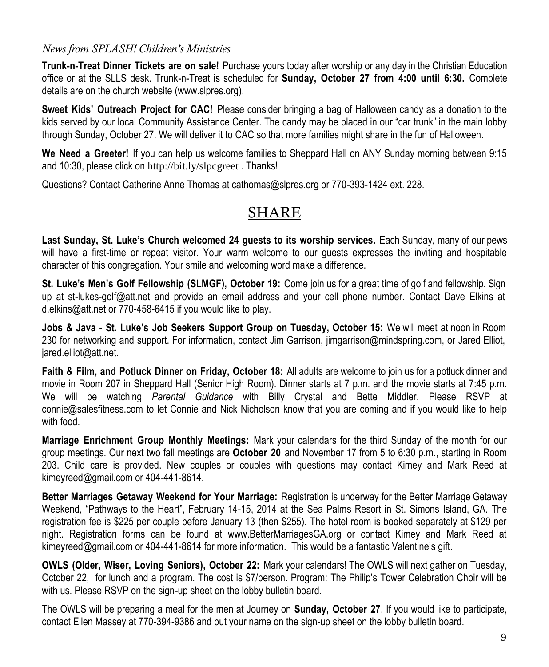#### *News from SPLASH! Children's Ministries*

**Trunk-n-Treat Dinner Tickets are on sale!** Purchase yours today after worship or any day in the Christian Education office or at the SLLS desk. Trunk-n-Treat is scheduled for **Sunday, October 27 from 4:00 until 6:30.** Complete details are on the church website (www.slpres.org).

**Sweet Kids' Outreach Project for CAC!** Please consider bringing a bag of Halloween candy as a donation to the kids served by our local Community Assistance Center. The candy may be placed in our "car trunk" in the main lobby through Sunday, October 27. We will deliver it to CAC so that more families might share in the fun of Halloween.

**We Need a Greeter!** If you can help us welcome families to Sheppard Hall on ANY Sunday morning between 9:15 and 10:30, please click on <http://bit.ly/slpcgreet> . Thanks!

Questions? Contact Catherine Anne Thomas at cathomas@slpres.org or 770-393-1424 ext. 228.

### SHARE

**Last Sunday, St. Luke's Church welcomed 24 guests to its worship services.** Each Sunday, many of our pews will have a first-time or repeat visitor. Your warm welcome to our guests expresses the inviting and hospitable character of this congregation. Your smile and welcoming word make a difference.

**St. Luke's Men's Golf Fellowship (SLMGF), October 19:** Come join us for a great time of golf and fellowship. Sign up at st-lukes-golf@att.net and provide an email address and your cell phone number. Contact Dave Elkins at d.elkins@att.net or 770-458-6415 if you would like to play.

**Jobs & Java - St. Luke's Job Seekers Support Group on Tuesday, October 15:** We will meet at noon in Room 230 for networking and support. For information, contact Jim Garrison, jimgarrison@mindspring.com, or Jared Elliot, jared.elliot@att.net.

**Faith & Film, and Potluck Dinner on Friday, October 18:** All adults are welcome to join us for a potluck dinner and movie in Room 207 in Sheppard Hall (Senior High Room). Dinner starts at 7 p.m. and the movie starts at 7:45 p.m. We will be watching *Parental Guidance* with Billy Crystal and Bette Middler*.* Please RSVP at connie@salesfitness.com to let Connie and Nick Nicholson know that you are coming and if you would like to help with food.

**Marriage Enrichment Group Monthly Meetings:** Mark your calendars for the third Sunday of the month for our group meetings. Our next two fall meetings are **October 20** and November 17 from 5 to 6:30 p.m., starting in Room 203. Child care is provided. New couples or couples with questions may contact Kimey and Mark Reed at kimeyreed@gmail.com or 404-441-8614.

**Better Marriages Getaway Weekend for Your Marriage:** Registration is underway for the Better Marriage Getaway Weekend, "Pathways to the Heart", February 14-15, 2014 at the Sea Palms Resort in St. Simons Island, GA. The registration fee is \$225 per couple before January 13 (then \$255). The hotel room is booked separately at \$129 per night. Registration forms can be found at www.BetterMarriagesGA.org or contact Kimey and Mark Reed at kimeyreed@gmail.com or 404-441-8614 for more information. This would be a fantastic Valentine's gift.

**OWLS (Older, Wiser, Loving Seniors), October 22:** Mark your calendars! The OWLS will next gather on Tuesday, October 22, for lunch and a program. The cost is \$7/person. Program: The Philip's Tower Celebration Choir will be with us. Please RSVP on the sign-up sheet on the lobby bulletin board.

The OWLS will be preparing a meal for the men at Journey on **Sunday, October 27**. If you would like to participate, contact Ellen Massey at 770-394-9386 and put your name on the sign-up sheet on the lobby bulletin board.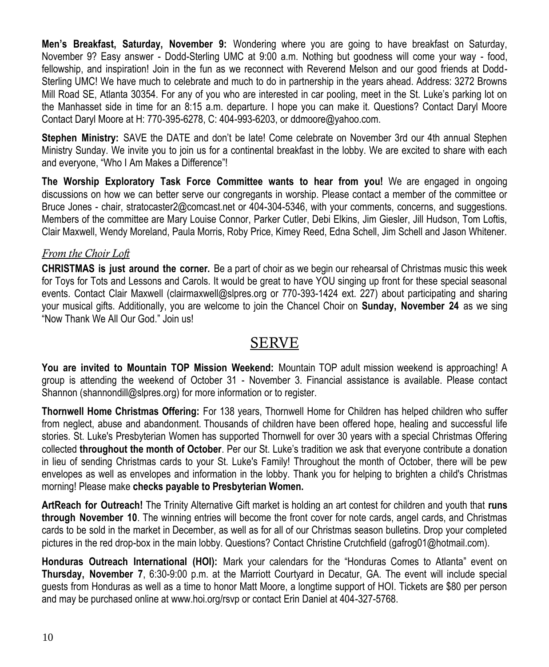**Men's Breakfast, Saturday, November 9:** Wondering where you are going to have breakfast on Saturday, November 9? Easy answer - Dodd-Sterling UMC at 9:00 a.m. Nothing but goodness will come your way - food, fellowship, and inspiration! Join in the fun as we reconnect with Reverend Melson and our good friends at Dodd-Sterling UMC! We have much to celebrate and much to do in partnership in the years ahead. Address: 3272 Browns Mill Road SE, Atlanta 30354. For any of you who are interested in car pooling, meet in the St. Luke's parking lot on the Manhasset side in time for an 8:15 a.m. departure. I hope you can make it. Questions? Contact Daryl Moore Contact Daryl Moore at H: 770-395-6278, C: 404-993-6203, or ddmoore@yahoo.com.

**Stephen Ministry:** SAVE the DATE and don't be late! Come celebrate on November 3rd our 4th annual Stephen Ministry Sunday. We invite you to join us for a continental breakfast in the lobby. We are excited to share with each and everyone, "Who I Am Makes a Difference"!

**The Worship Exploratory Task Force Committee wants to hear from you!** We are engaged in ongoing discussions on how we can better serve our congregants in worship. Please contact a member of the committee or Bruce Jones - chair, [stratocaster2@comcast.net o](mailto:stratocaster2@comcast.net)r 404-304-5346, with your comments, concerns, and suggestions. Members of the committee are Mary Louise Connor, Parker Cutler, Debi Elkins, Jim Giesler, Jill Hudson, Tom Loftis, Clair Maxwell, Wendy Moreland, Paula Morris, Roby Price, Kimey Reed, Edna Schell, Jim Schell and Jason Whitener.

#### *From the Choir Loft*

**CHRISTMAS is just around the corner.** Be a part of choir as we begin our rehearsal of Christmas music this week for Toys for Tots and Lessons and Carols. It would be great to have YOU singing up front for these special seasonal events. Contact Clair Maxwell (clairmaxwell@slpres.org or 770-393-1424 ext. 227) about participating and sharing your musical gifts. Additionally, you are welcome to join the Chancel Choir on **Sunday, November 24** as we sing "Now Thank We All Our God." Join us!

### SERVE

**You are invited to Mountain TOP Mission Weekend:** Mountain TOP adult mission weekend is approaching! A group is attending the weekend of October 31 - November 3. Financial assistance is available. Please contact Shannon [\(shannondill@slpres.org\)](mailto:shannondill@slpres.org) for more information or to register.

**Thornwell Home Christmas Offering:** For 138 years, Thornwell Home for Children has helped children who suffer from neglect, abuse and abandonment. Thousands of children have been offered hope, healing and successful life stories. St. Luke's Presbyterian Women has supported Thornwell for over 30 years with a special Christmas Offering collected **throughout the month of October**. Per our St. Luke's tradition we ask that everyone contribute a donation in lieu of sending Christmas cards to your St. Luke's Family! Throughout the month of October, there will be pew envelopes as well as envelopes and information in the lobby. Thank you for helping to brighten a child's Christmas morning! Please make **checks payable to Presbyterian Women.** 

**ArtReach for Outreach!** The Trinity Alternative Gift market is holding an art contest for children and youth that **runs through November 10**. The winning entries will become the front cover for note cards, angel cards, and Christmas cards to be sold in the market in December, as well as for all of our Christmas season bulletins. Drop your completed pictures in the red drop-box in the main lobby. Questions? Contact Christine Crutchfield (gafrog01@hotmail.com).

**Honduras Outreach International (HOI):** Mark your calendars for the "Honduras Comes to Atlanta" event on **Thursday, November 7**, 6:30-9:00 p.m. at the Marriott Courtyard in Decatur, GA. The event will include special guests from Honduras as well as a time to honor Matt Moore, a longtime support of HOI. Tickets are \$80 per person and may be purchased online at www.hoi.org/rsvp or contact Erin Daniel at 404-327-5768.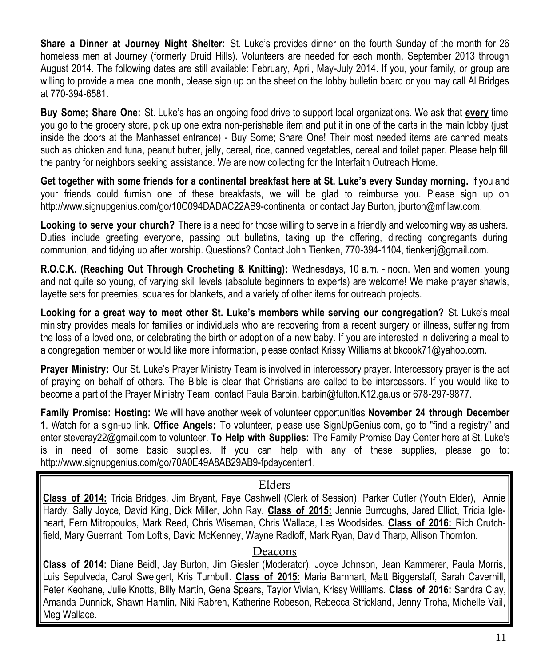**Share a Dinner at Journey Night Shelter:** St. Luke's provides dinner on the fourth Sunday of the month for 26 homeless men at Journey (formerly Druid Hills). Volunteers are needed for each month, September 2013 through August 2014. The following dates are still available: February, April, May-July 2014. If you, your family, or group are willing to provide a meal one month, please sign up on the sheet on the lobby bulletin board or you may call Al Bridges at 770-394-6581.

**Buy Some; Share One:** St. Luke's has an ongoing food drive to support local organizations. We ask that **every** time you go to the grocery store, pick up one extra non-perishable item and put it in one of the carts in the main lobby (just inside the doors at the Manhasset entrance) - Buy Some; Share One! Their most needed items are canned meats such as chicken and tuna, peanut butter, jelly, cereal, rice, canned vegetables, cereal and toilet paper. Please help fill the pantry for neighbors seeking assistance. We are now collecting for the Interfaith Outreach Home.

**Get together with some friends for a continental breakfast here at St. Luke's every Sunday morning.** If you and your friends could furnish one of these breakfasts, we will be glad to reimburse you. Please sign up on http://www.signupgenius.com/go/10C094DADAC22AB9-continental or contact Jay Burton, jburton@mfllaw.com.

**Looking to serve your church?** There is a need for those willing to serve in a friendly and welcoming way as ushers. Duties include greeting everyone, passing out bulletins, taking up the offering, directing congregants during communion, and tidying up after worship. Questions? Contact John Tienken, 770-394-1104, tienkenj@gmail.com.

**R.O.C.K. (Reaching Out Through Crocheting & Knitting):** Wednesdays, 10 a.m. - noon. Men and women, young and not quite so young, of varying skill levels (absolute beginners to experts) are welcome! We make prayer shawls, layette sets for preemies, squares for blankets, and a variety of other items for outreach projects.

**Looking for a great way to meet other St. Luke's members while serving our congregation?** St. Luke's meal ministry provides meals for families or individuals who are recovering from a recent surgery or illness, suffering from the loss of a loved one, or celebrating the birth or adoption of a new baby. If you are interested in delivering a meal to a congregation member or would like more information, please contact Krissy Williams at bkcook71@yahoo.com.

**Prayer Ministry:** Our St. Luke's Prayer Ministry Team is involved in intercessory prayer. Intercessory prayer is the act of praying on behalf of others. The Bible is clear that Christians are called to be intercessors. If you would like to become a part of the Prayer Ministry Team, contact Paula Barbin, barbin@fulton.K12.ga.us or 678-297-9877.

**Family Promise: Hosting:** We will have another week of volunteer opportunities **November 24 through December 1**. Watch for a sign-up link. **Office Angels:** To volunteer, please use SignUpGenius.com, go to "find a registry" and enter [steveray22@gmail.com](mailto:steveray22@gmail.com) to volunteer. **To Help with Supplies:** The Family Promise Day Center here at St. Luke's is in need of some basic supplies. If you can help with any of these supplies, please go to: http://www.signupgenius.com/go/70A0E49A8AB29AB9-fpdaycenter1.

#### Elders

**Class of 2014:** Tricia Bridges, Jim Bryant, Faye Cashwell (Clerk of Session), Parker Cutler (Youth Elder), Annie Hardy, Sally Joyce, David King, Dick Miller, John Ray. **Class of 2015:** Jennie Burroughs, Jared Elliot, Tricia Igleheart, Fern Mitropoulos, Mark Reed, Chris Wiseman, Chris Wallace, Les Woodsides. **Class of 2016:** Rich Crutchfield, Mary Guerrant, Tom Loftis, David McKenney, Wayne Radloff, Mark Ryan, David Tharp, Allison Thornton.

#### Deacons

**Class of 2014:** Diane Beidl, Jay Burton, Jim Giesler (Moderator), Joyce Johnson, Jean Kammerer, Paula Morris, Luis Sepulveda, Carol Sweigert, Kris Turnbull. **Class of 2015:** Maria Barnhart, Matt Biggerstaff, Sarah Caverhill, Peter Keohane, Julie Knotts, Billy Martin, Gena Spears, Taylor Vivian, Krissy Williams. **Class of 2016:** Sandra Clay, Amanda Dunnick, Shawn Hamlin, Niki Rabren, Katherine Robeson, Rebecca Strickland, Jenny Troha, Michelle Vail, Meg Wallace.